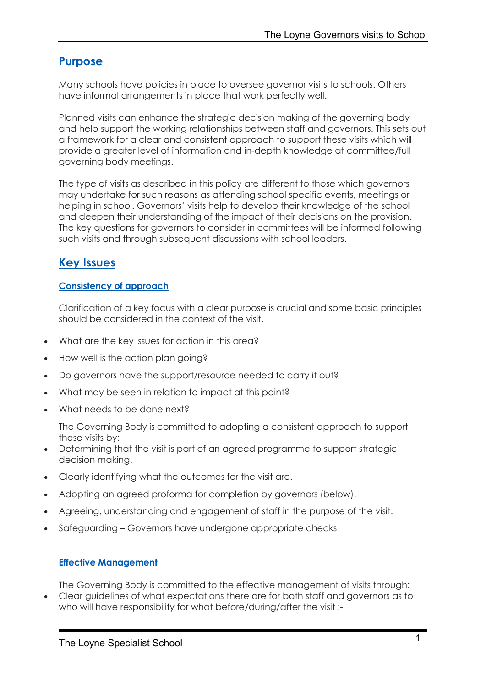## **Purpose**

Many schools have policies in place to oversee governor visits to schools. Others have informal arrangements in place that work perfectly well.

Planned visits can enhance the strategic decision making of the governing body and help support the working relationships between staff and governors. This sets out a framework for a clear and consistent approach to support these visits which will provide a greater level of information and in-depth knowledge at committee/full governing body meetings.

The type of visits as described in this policy are different to those which governors may undertake for such reasons as attending school specific events, meetings or helping in school. Governors' visits help to develop their knowledge of the school and deepen their understanding of the impact of their decisions on the provision. The key questions for governors to consider in committees will be informed following such visits and through subsequent discussions with school leaders.

# **Key Issues**

### **Consistency of approach**

Clarification of a key focus with a clear purpose is crucial and some basic principles should be considered in the context of the visit.

- What are the key issues for action in this area?
- How well is the action plan going?
- Do governors have the support/resource needed to carry it out?
- What may be seen in relation to impact at this point?
- What needs to be done next?

The Governing Body is committed to adopting a consistent approach to support these visits by:

- Determining that the visit is part of an agreed programme to support strategic decision making.
- Clearly identifying what the outcomes for the visit are.
- Adopting an agreed proforma for completion by governors (below).
- Agreeing, understanding and engagement of staff in the purpose of the visit.
- Safeguarding Governors have undergone appropriate checks

#### **Effective Management**

The Governing Body is committed to the effective management of visits through:

• Clear guidelines of what expectations there are for both staff and governors as to who will have responsibility for what before/during/after the visit :-